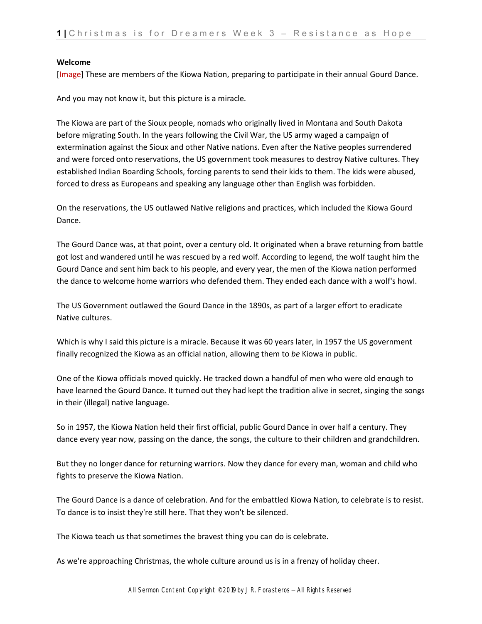## **Welcome**

[Image] These are members of the Kiowa Nation, preparing to participate in their annual Gourd Dance.

And you may not know it, but this picture is a miracle.

The Kiowa are part of the Sioux people, nomads who originally lived in Montana and South Dakota before migrating South. In the years following the Civil War, the US army waged a campaign of extermination against the Sioux and other Native nations. Even after the Native peoples surrendered and were forced onto reservations, the US government took measures to destroy Native cultures. They established Indian Boarding Schools, forcing parents to send their kids to them. The kids were abused, forced to dress as Europeans and speaking any language other than English was forbidden.

On the reservations, the US outlawed Native religions and practices, which included the Kiowa Gourd Dance.

The Gourd Dance was, at that point, over a century old. It originated when a brave returning from battle got lost and wandered until he was rescued by a red wolf. According to legend, the wolf taught him the Gourd Dance and sent him back to his people, and every year, the men of the Kiowa nation performed the dance to welcome home warriors who defended them. They ended each dance with a wolf's howl.

The US Government outlawed the Gourd Dance in the 1890s, as part of a larger effort to eradicate Native cultures.

Which is why I said this picture is a miracle. Because it was 60 years later, in 1957 the US government finally recognized the Kiowa as an official nation, allowing them to *be* Kiowa in public.

One of the Kiowa officials moved quickly. He tracked down a handful of men who were old enough to have learned the Gourd Dance. It turned out they had kept the tradition alive in secret, singing the songs in their (illegal) native language.

So in 1957, the Kiowa Nation held their first official, public Gourd Dance in over half a century. They dance every year now, passing on the dance, the songs, the culture to their children and grandchildren.

But they no longer dance for returning warriors. Now they dance for every man, woman and child who fights to preserve the Kiowa Nation.

The Gourd Dance is a dance of celebration. And for the embattled Kiowa Nation, to celebrate is to resist. To dance is to insist they're still here. That they won't be silenced.

The Kiowa teach us that sometimes the bravest thing you can do is celebrate.

As we're approaching Christmas, the whole culture around us is in a frenzy of holiday cheer.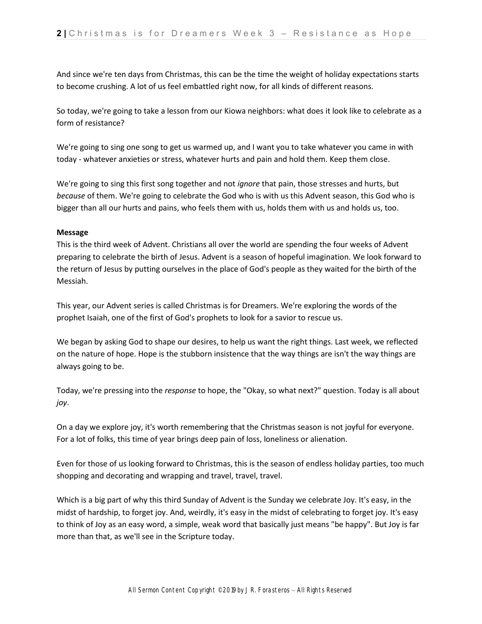And since we're ten days from Christmas, this can be the time the weight of holiday expectations starts to become crushing. A lot of us feel embattled right now, for all kinds of different reasons.

So today, we're going to take a lesson from our Kiowa neighbors: what does it look like to celebrate as a form of resistance?

We're going to sing one song to get us warmed up, and I want you to take whatever you came in with today - whatever anxieties or stress, whatever hurts and pain and hold them. Keep them close.

We're going to sing this first song together and not *ignore* that pain, those stresses and hurts, but *because* of them. We're going to celebrate the God who is with us this Advent season, this God who is bigger than all our hurts and pains, who feels them with us, holds them with us and holds us, too.

## **Message**

This is the third week of Advent. Christians all over the world are spending the four weeks of Advent preparing to celebrate the birth of Jesus. Advent is a season of hopeful imagination. We look forward to the return of Jesus by putting ourselves in the place of God's people as they waited for the birth of the Messiah.

This year, our Advent series is called Christmas is for Dreamers. We're exploring the words of the prophet Isaiah, one of the first of God's prophets to look for a savior to rescue us.

We began by asking God to shape our desires, to help us want the right things. Last week, we reflected on the nature of hope. Hope is the stubborn insistence that the way things are isn't the way things are always going to be.

Today, we're pressing into the *response* to hope, the "Okay, so what next?" question. Today is all about *joy*.

On a day we explore joy, it's worth remembering that the Christmas season is not joyful for everyone. For a lot of folks, this time of year brings deep pain of loss, loneliness or alienation.

Even for those of us looking forward to Christmas, this is the season of endless holiday parties, too much shopping and decorating and wrapping and travel, travel, travel.

Which is a big part of why this third Sunday of Advent is the Sunday we celebrate Joy. It's easy, in the midst of hardship, to forget joy. And, weirdly, it's easy in the midst of celebrating to forget joy. It's easy to think of Joy as an easy word, a simple, weak word that basically just means "be happy". But Joy is far more than that, as we'll see in the Scripture today.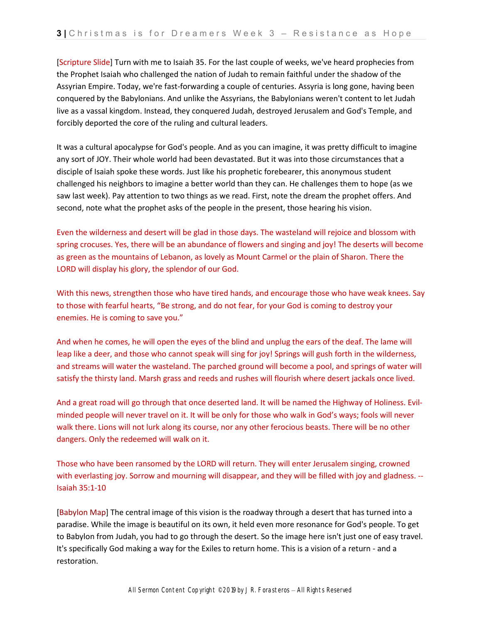[Scripture Slide] Turn with me to Isaiah 35. For the last couple of weeks, we've heard prophecies from the Prophet Isaiah who challenged the nation of Judah to remain faithful under the shadow of the Assyrian Empire. Today, we're fast-forwarding a couple of centuries. Assyria is long gone, having been conquered by the Babylonians. And unlike the Assyrians, the Babylonians weren't content to let Judah live as a vassal kingdom. Instead, they conquered Judah, destroyed Jerusalem and God's Temple, and forcibly deported the core of the ruling and cultural leaders.

It was a cultural apocalypse for God's people. And as you can imagine, it was pretty difficult to imagine any sort of JOY. Their whole world had been devastated. But it was into those circumstances that a disciple of Isaiah spoke these words. Just like his prophetic forebearer, this anonymous student challenged his neighbors to imagine a better world than they can. He challenges them to hope (as we saw last week). Pay attention to two things as we read. First, note the dream the prophet offers. And second, note what the prophet asks of the people in the present, those hearing his vision.

Even the wilderness and desert will be glad in those days. The wasteland will rejoice and blossom with spring crocuses. Yes, there will be an abundance of flowers and singing and joy! The deserts will become as green as the mountains of Lebanon, as lovely as Mount Carmel or the plain of Sharon. There the LORD will display his glory, the splendor of our God.

With this news, strengthen those who have tired hands, and encourage those who have weak knees. Say to those with fearful hearts, "Be strong, and do not fear, for your God is coming to destroy your enemies. He is coming to save you."

And when he comes, he will open the eyes of the blind and unplug the ears of the deaf. The lame will leap like a deer, and those who cannot speak will sing for joy! Springs will gush forth in the wilderness, and streams will water the wasteland. The parched ground will become a pool, and springs of water will satisfy the thirsty land. Marsh grass and reeds and rushes will flourish where desert jackals once lived.

And a great road will go through that once deserted land. It will be named the Highway of Holiness. Evilminded people will never travel on it. It will be only for those who walk in God's ways; fools will never walk there. Lions will not lurk along its course, nor any other ferocious beasts. There will be no other dangers. Only the redeemed will walk on it.

Those who have been ransomed by the LORD will return. They will enter Jerusalem singing, crowned with everlasting joy. Sorrow and mourning will disappear, and they will be filled with joy and gladness. --Isaiah 35:1-10

[Babylon Map] The central image of this vision is the roadway through a desert that has turned into a paradise. While the image is beautiful on its own, it held even more resonance for God's people. To get to Babylon from Judah, you had to go through the desert. So the image here isn't just one of easy travel. It's specifically God making a way for the Exiles to return home. This is a vision of a return - and a restoration.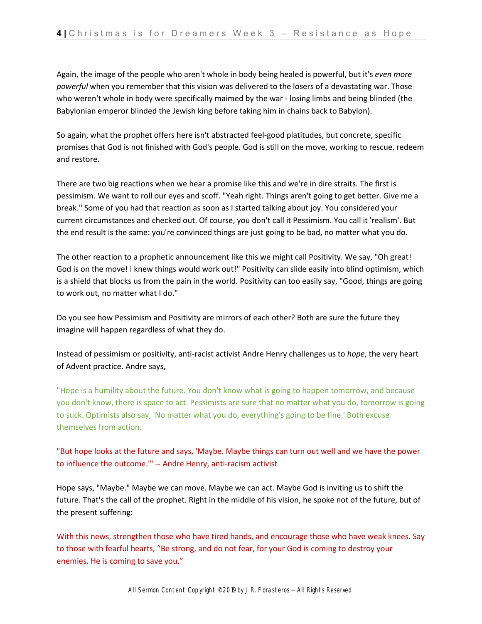Again, the image of the people who aren't whole in body being healed is powerful, but it's *even more powerful* when you remember that this vision was delivered to the losers of a devastating war. Those who weren't whole in body were specifically maimed by the war - losing limbs and being blinded (the Babylonian emperor blinded the Jewish king before taking him in chains back to Babylon).

So again, what the prophet offers here isn't abstracted feel-good platitudes, but concrete, specific promises that God is not finished with God's people. God is still on the move, working to rescue, redeem and restore.

There are two big reactions when we hear a promise like this and we're in dire straits. The first is pessimism. We want to roll our eyes and scoff. "Yeah right. Things aren't going to get better. Give me a break." Some of you had that reaction as soon as I started talking about joy. You considered your current circumstances and checked out. Of course, you don't call it Pessimism. You call it 'realism'. But the end result is the same: you're convinced things are just going to be bad, no matter what you do.

The other reaction to a prophetic announcement like this we might call Positivity. We say, "Oh great! God is on the move! I knew things would work out!" Positivity can slide easily into blind optimism, which is a shield that blocks us from the pain in the world. Positivity can too easily say, "Good, things are going to work out, no matter what I do."

Do you see how Pessimism and Positivity are mirrors of each other? Both are sure the future they imagine will happen regardless of what they do.

Instead of pessimism or positivity, anti-racist activist Andre Henry challenges us to *hope*, the very heart of Advent practice. Andre says,

"Hope is a humility about the future. You don't know what is going to happen tomorrow, and because you don't know, there is space to act. Pessimists are sure that no matter what you do, tomorrow is going to suck. Optimists also say, 'No matter what you do, everything's going to be fine.' Both excuse themselves from action.

"But hope looks at the future and says, 'Maybe. Maybe things can turn out well and we have the power to influence the outcome.'" -- Andre Henry, anti-racism activist

Hope says, "Maybe." Maybe we can move. Maybe we can act. Maybe God is inviting us to shift the future. That's the call of the prophet. Right in the middle of his vision, he spoke not of the future, but of the present suffering:

With this news, strengthen those who have tired hands, and encourage those who have weak knees. Say to those with fearful hearts, "Be strong, and do not fear, for your God is coming to destroy your enemies. He is coming to save you."